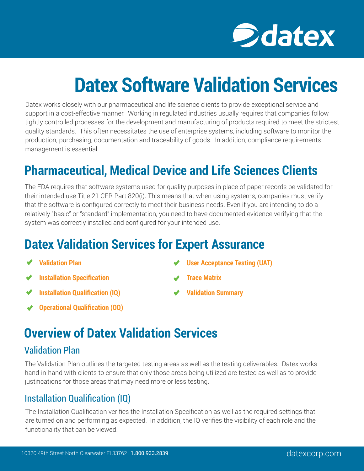

# **Datex Software Validation Services**

Datex works closely with our pharmaceutical and life science clients to provide exceptional service and support in a cost-effective manner. Working in regulated industries usually requires that companies follow tightly controlled processes for the development and manufacturing of products required to meet the strictest quality standards. This often necessitates the use of enterprise systems, including software to monitor the production, purchasing, documentation and traceability of goods. In addition, compliance requirements management is essential.

## **Pharmaceutical, Medical Device and Life Sciences Clients**

The FDA requires that software systems used for quality purposes in place of paper records be validated for their intended use Title 21 CFR Part 820(i). This means that when using systems, companies must verify that the software is configured correctly to meet their business needs. Even if you are intending to do a relatively "basic" or "standard" implementation, you need to have documented evidence verifying that the system was correctly installed and configured for your intended use.

## **Datex Validation Services for Expert Assurance**

- **Validation Plan**
- **Installation Specification**
- **Installation Qualification (IQ)**
- **Operational Qualification (OQ)**
- **User Acceptance Testing (UAT)**
- **Trace Matrix**
- **Validation Summary**

## **Overview of Datex Validation Services**

#### Validation Plan

The Validation Plan outlines the targeted testing areas as well as the testing deliverables. Datex works hand-in-hand with clients to ensure that only those areas being utilized are tested as well as to provide justifications for those areas that may need more or less testing.

#### Installation Qualification (IQ)

The Installation Qualification verifies the Installation Specification as well as the required settings that are turned on and performing as expected. In addition, the IQ verifies the visibility of each role and the functionality that can be viewed.